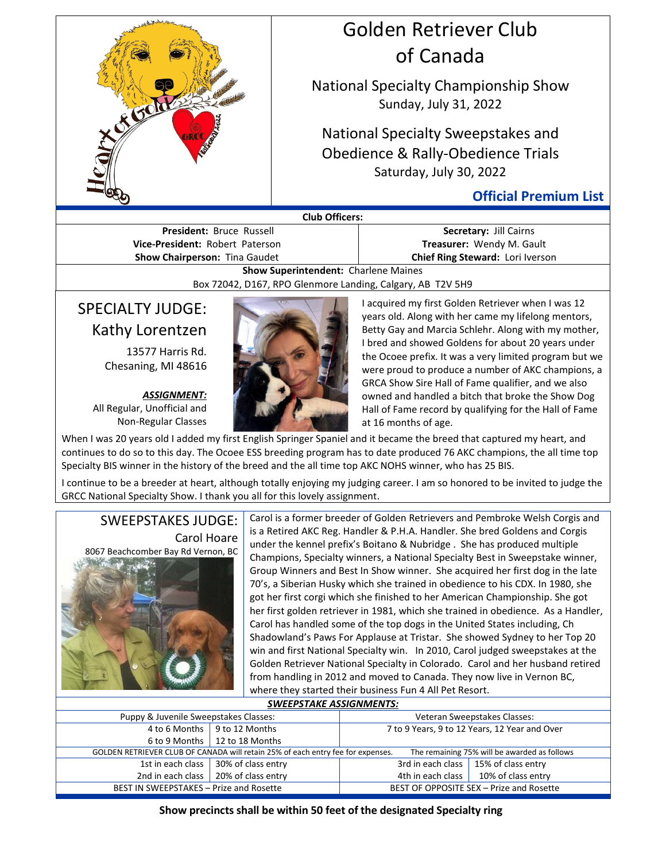

# Golden Retriever Club of Canada

National Specialty Championship Show Sunday, July 31, 2022

National Specialty Sweepstakes and Obedience & Rally-Obedience Trials Saturday, July 30, 2022

### **Official Premium List**

**Club Officers:**

 **President:** Bruce Russell **Vice-President:** Robert Paterson **Show Chairperson:** Tina Gaudet

 **Secretary:** Jill Cairns **Treasurer:** Wendy M. Gault **Chief Ring Steward:** Lori Iverson

**Show Superintendent:** Charlene Maines

Box 72042, D167, RPO Glenmore Landing, Calgary, AB T2V 5H9

# SPECIALTY JUDGE: Kathy Lorentzen

13577 Harris Rd. Chesaning, MI 48616

#### *ASSIGNMENT:*

All Regular, Unofficial and Non-Regular Classes



I acquired my first Golden Retriever when I was 12 years old. Along with her came my lifelong mentors, Betty Gay and Marcia Schlehr. Along with my mother, I bred and showed Goldens for about 20 years under the Ocoee prefix. It was a very limited program but we were proud to produce a number of AKC champions, a GRCA Show Sire Hall of Fame qualifier, and we also owned and handled a bitch that broke the Show Dog Hall of Fame record by qualifying for the Hall of Fame

When I was 20 years old I added my first English Springer Spaniel and it became the breed that captured my heart, and continues to do so to this day. The Ocoee ESS breeding program has to date produced 76 AKC champions, the all time top Specialty BIS winner in the history of the breed and the all time top AKC NOHS winner, who has 25 BIS.

I continue to be a breeder at heart, although totally enjoying my judging career. I am so honored to be invited to judge the GRCC National Specialty Show. I thank you all for this lovely assignment.

### SWEEPSTAKES JUDGE: Carol Hoare

8067 Beachcomber Bay Rd Vernon, BC



Carol is a former breeder of Golden Retrievers and Pembroke Welsh Corgis and is a Retired AKC Reg. Handler & P.H.A. Handler. She bred Goldens and Corgis under the kennel prefix's Boitano & Nubridge . She has produced multiple Champions, Specialty winners, a National Specialty Best in Sweepstake winner, Group Winners and Best In Show winner. She acquired her first dog in the late 70's, a Siberian Husky which she trained in obedience to his CDX. In 1980, she got her first corgi which she finished to her American Championship. She got her first golden retriever in 1981, which she trained in obedience. As a Handler, Carol has handled some of the top dogs in the United States including, Ch Shadowland's Paws For Applause at Tristar. She showed Sydney to her Top 20 win and first National Specialty win. In 2010, Carol judged sweepstakes at the Golden Retriever National Specialty in Colorado. Carol and her husband retired from handling in 2012 and moved to Canada. They now live in Vernon BC, where they started their business Fun 4 All Pet Resort.

| <b>SWEEPSTAKE ASSIGNMENTS:</b>                                                  |                    |                                               |                                              |  |
|---------------------------------------------------------------------------------|--------------------|-----------------------------------------------|----------------------------------------------|--|
| Puppy & Juvenile Sweepstakes Classes:                                           |                    | Veteran Sweepstakes Classes:                  |                                              |  |
| 4 to 6 Months                                                                   | 9 to 12 Months     | 7 to 9 Years, 9 to 12 Years, 12 Year and Over |                                              |  |
| 6 to 9 Months                                                                   | 12 to 18 Months    |                                               |                                              |  |
| GOLDEN RETRIEVER CLUB OF CANADA will retain 25% of each entry fee for expenses. |                    |                                               | The remaining 75% will be awarded as follows |  |
| 1st in each class                                                               | 30% of class entry | 3rd in each class                             | 15% of class entry                           |  |
| 2nd in each class                                                               | 20% of class entry | 4th in each class                             | 10% of class entry                           |  |
| BEST IN SWEEPSTAKES - Prize and Rosette                                         |                    | BEST OF OPPOSITE SEX - Prize and Rosette      |                                              |  |

**Show precincts shall be within 50 feet of the designated Specialty ring**.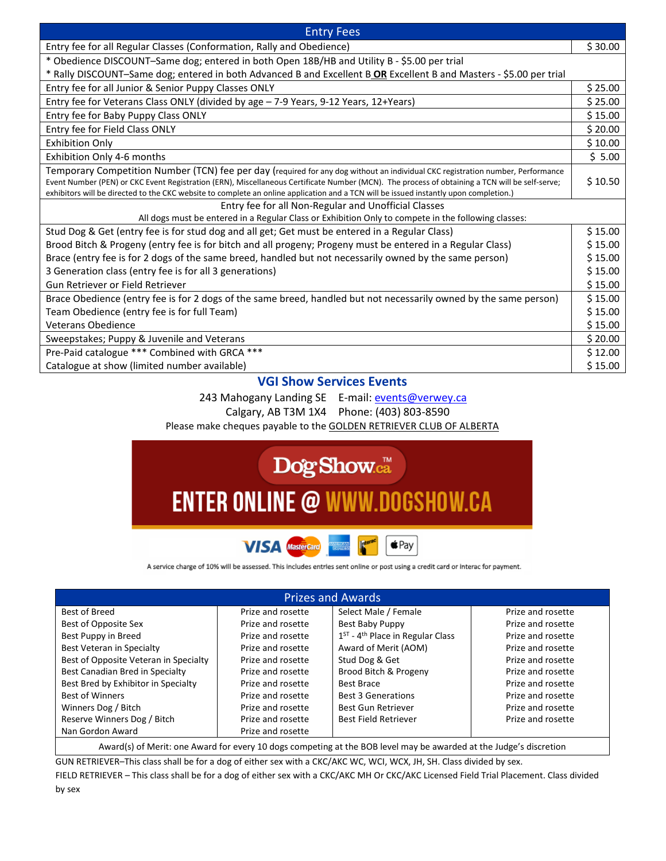| <b>Entry Fees</b>                                                                                                                                                                                                                                                                       |         |  |  |
|-----------------------------------------------------------------------------------------------------------------------------------------------------------------------------------------------------------------------------------------------------------------------------------------|---------|--|--|
| Entry fee for all Regular Classes (Conformation, Rally and Obedience)                                                                                                                                                                                                                   | \$30.00 |  |  |
| * Obedience DISCOUNT-Same dog; entered in both Open 18B/HB and Utility B - \$5.00 per trial                                                                                                                                                                                             |         |  |  |
| * Rally DISCOUNT-Same dog; entered in both Advanced B and Excellent B OR Excellent B and Masters - \$5.00 per trial                                                                                                                                                                     |         |  |  |
| Entry fee for all Junior & Senior Puppy Classes ONLY                                                                                                                                                                                                                                    | \$25.00 |  |  |
| Entry fee for Veterans Class ONLY (divided by age - 7-9 Years, 9-12 Years, 12+Years)                                                                                                                                                                                                    | \$25.00 |  |  |
| Entry fee for Baby Puppy Class ONLY                                                                                                                                                                                                                                                     | \$15.00 |  |  |
| Entry fee for Field Class ONLY                                                                                                                                                                                                                                                          | \$20.00 |  |  |
| <b>Exhibition Only</b>                                                                                                                                                                                                                                                                  | \$10.00 |  |  |
| Exhibition Only 4-6 months                                                                                                                                                                                                                                                              | \$5.00  |  |  |
| Temporary Competition Number (TCN) fee per day (required for any dog without an individual CKC registration number, Performance                                                                                                                                                         |         |  |  |
| Event Number (PEN) or CKC Event Registration (ERN), Miscellaneous Certificate Number (MCN). The process of obtaining a TCN will be self-serve;<br>exhibitors will be directed to the CKC website to complete an online application and a TCN will be issued instantly upon completion.) | \$10.50 |  |  |
| Entry fee for all Non-Regular and Unofficial Classes                                                                                                                                                                                                                                    |         |  |  |
| All dogs must be entered in a Regular Class or Exhibition Only to compete in the following classes:                                                                                                                                                                                     |         |  |  |
| Stud Dog & Get (entry fee is for stud dog and all get; Get must be entered in a Regular Class)                                                                                                                                                                                          | \$15.00 |  |  |
| Brood Bitch & Progeny (entry fee is for bitch and all progeny; Progeny must be entered in a Regular Class)                                                                                                                                                                              | \$15.00 |  |  |
| Brace (entry fee is for 2 dogs of the same breed, handled but not necessarily owned by the same person)                                                                                                                                                                                 | \$15.00 |  |  |
| 3 Generation class (entry fee is for all 3 generations)                                                                                                                                                                                                                                 |         |  |  |
| Gun Retriever or Field Retriever                                                                                                                                                                                                                                                        | \$15.00 |  |  |
| Brace Obedience (entry fee is for 2 dogs of the same breed, handled but not necessarily owned by the same person)                                                                                                                                                                       | \$15.00 |  |  |
| Team Obedience (entry fee is for full Team)                                                                                                                                                                                                                                             |         |  |  |
| <b>Veterans Obedience</b>                                                                                                                                                                                                                                                               |         |  |  |
| Sweepstakes; Puppy & Juvenile and Veterans                                                                                                                                                                                                                                              |         |  |  |
| Pre-Paid catalogue *** Combined with GRCA ***                                                                                                                                                                                                                                           |         |  |  |
| Catalogue at show (limited number available)                                                                                                                                                                                                                                            | \$15.00 |  |  |

#### **VGI Show Services Events**

243 Mahogany Landing SE E-mail: **events@verwey.ca** 

Calgary, AB T3M 1X4 Phone: (403) 803-8590

Please make cheques payable to the GOLDEN RETRIEVER CLUB OF ALBERTA





A service charge of 10% will be assessed. This includes entries sent online or post using a credit card or interac for payment.

| <b>Prizes and Awards</b>              |                   |                                                          |                   |  |
|---------------------------------------|-------------------|----------------------------------------------------------|-------------------|--|
| Best of Breed                         | Prize and rosette | Select Male / Female                                     | Prize and rosette |  |
| Best of Opposite Sex                  | Prize and rosette | Best Baby Puppy                                          | Prize and rosette |  |
| Best Puppy in Breed                   | Prize and rosette | 1 <sup>ST</sup> - 4 <sup>th</sup> Place in Regular Class | Prize and rosette |  |
| Best Veteran in Specialty             | Prize and rosette | Award of Merit (AOM)                                     | Prize and rosette |  |
| Best of Opposite Veteran in Specialty | Prize and rosette | Stud Dog & Get                                           | Prize and rosette |  |
| Best Canadian Bred in Specialty       | Prize and rosette | Brood Bitch & Progeny                                    | Prize and rosette |  |
| Best Bred by Exhibitor in Specialty   | Prize and rosette | <b>Best Brace</b>                                        | Prize and rosette |  |
| <b>Best of Winners</b>                | Prize and rosette | <b>Best 3 Generations</b>                                | Prize and rosette |  |
| Winners Dog / Bitch                   | Prize and rosette | Best Gun Retriever                                       | Prize and rosette |  |
| Reserve Winners Dog / Bitch           | Prize and rosette | Best Field Retriever                                     | Prize and rosette |  |
| Nan Gordon Award                      | Prize and rosette |                                                          |                   |  |

Award(s) of Merit: one Award for every 10 dogs competing at the BOB level may be awarded at the Judge's discretion GUN RETRIEVER–This class shall be for a dog of either sex with a CKC/AKC WC, WCI, WCX, JH, SH. Class divided by sex.

FIELD RETRIEVER – This class shall be for a dog of either sex with a CKC/AKC MH Or CKC/AKC Licensed Field Trial Placement. Class divided by sex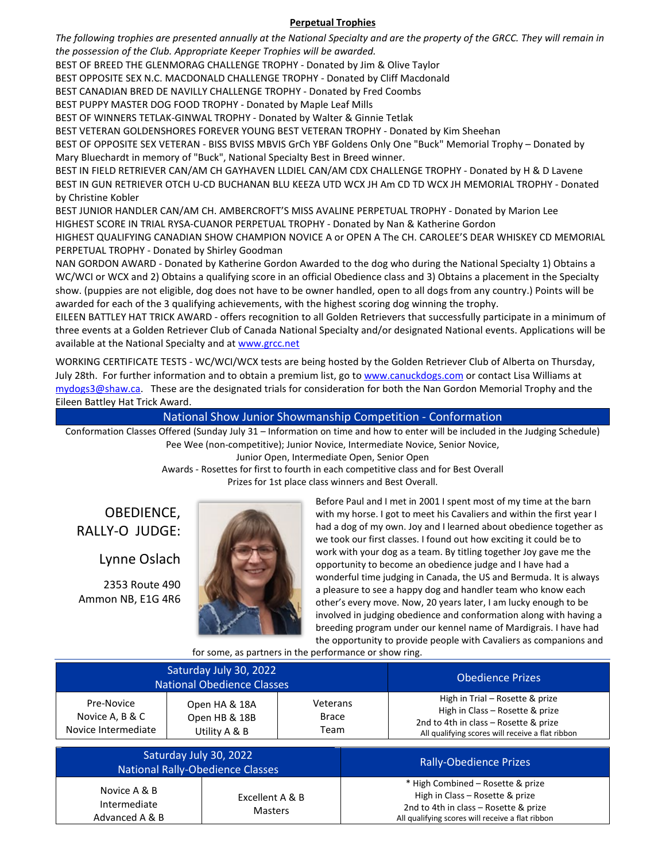#### **Perpetual Trophies**

*The following trophies are presented annually at the National Specialty and are the property of the GRCC. They will remain in the possession of the Club. Appropriate Keeper Trophies will be awarded.*

BEST OF BREED THE GLENMORAG CHALLENGE TROPHY - Donated by Jim & Olive Taylor

BEST OPPOSITE SEX N.C. MACDONALD CHALLENGE TROPHY - Donated by Cliff Macdonald

BEST CANADIAN BRED DE NAVILLY CHALLENGE TROPHY - Donated by Fred Coombs

BEST PUPPY MASTER DOG FOOD TROPHY - Donated by Maple Leaf Mills

BEST OF WINNERS TETLAK-GINWAL TROPHY - Donated by Walter & Ginnie Tetlak

BEST VETERAN GOLDENSHORES FOREVER YOUNG BEST VETERAN TROPHY - Donated by Kim Sheehan

BEST OF OPPOSITE SEX VETERAN - BISS BVISS MBVIS GrCh YBF Goldens Only One "Buck" Memorial Trophy – Donated by Mary Bluechardt in memory of "Buck", National Specialty Best in Breed winner.

BEST IN FIELD RETRIEVER CAN/AM CH GAYHAVEN LLDIEL CAN/AM CDX CHALLENGE TROPHY - Donated by H & D Lavene BEST IN GUN RETRIEVER OTCH U-CD BUCHANAN BLU KEEZA UTD WCX JH Am CD TD WCX JH MEMORIAL TROPHY - Donated by Christine Kobler

BEST JUNIOR HANDLER CAN/AM CH. AMBERCROFT'S MISS AVALINE PERPETUAL TROPHY - Donated by Marion Lee HIGHEST SCORE IN TRIAL RYSA-CUANOR PERPETUAL TROPHY - Donated by Nan & Katherine Gordon

HIGHEST QUALIFYING CANADIAN SHOW CHAMPION NOVICE A or OPEN A The CH. CAROLEE'S DEAR WHISKEY CD MEMORIAL PERPETUAL TROPHY - Donated by Shirley Goodman

NAN GORDON AWARD - Donated by Katherine Gordon Awarded to the dog who during the National Specialty 1) Obtains a WC/WCI or WCX and 2) Obtains a qualifying score in an official Obedience class and 3) Obtains a placement in the Specialty show. (puppies are not eligible, dog does not have to be owner handled, open to all dogs from any country.) Points will be awarded for each of the 3 qualifying achievements, with the highest scoring dog winning the trophy.

EILEEN BATTLEY HAT TRICK AWARD - offers recognition to all Golden Retrievers that successfully participate in a minimum of three events at a Golden Retriever Club of Canada National Specialty and/or designated National events. Applications will be available at the National Specialty and at [www.grcc.net](http://www.grcc.net/)

WORKING CERTIFICATE TESTS - WC/WCI/WCX tests are being hosted by the Golden Retriever Club of Alberta on Thursday, July 28th. For further information and to obtain a premium list, go to [www.canuckdogs.com](http://www.canuckdogs.com/) or contact Lisa Williams at [mydogs3@shaw.ca.](mailto:mydogs3@shaw.ca) These are the designated trials for consideration for both the Nan Gordon Memorial Trophy and the Eileen Battley Hat Trick Award.

National Show Junior Showmanship Competition - Conformation

Conformation Classes Offered (Sunday July 31 – Information on time and how to enter will be included in the Judging Schedule) Pee Wee (non-competitive); Junior Novice, Intermediate Novice, Senior Novice,

Junior Open, Intermediate Open, Senior Open

Awards - Rosettes for first to fourth in each competitive class and for Best Overall

Prizes for 1st place class winners and Best Overall.

OBEDIENCE, RALLY-O JUDGE:

Lynne Oslach

2353 Route 490 Ammon NB, E1G 4R6



Before Paul and I met in 2001 I spent most of my time at the barn with my horse. I got to meet his Cavaliers and within the first year I had a dog of my own. Joy and I learned about obedience together as we took our first classes. I found out how exciting it could be to work with your dog as a team. By titling together Joy gave me the opportunity to become an obedience judge and I have had a wonderful time judging in Canada, the US and Bermuda. It is always a pleasure to see a happy dog and handler team who know each other's every move. Now, 20 years later, I am lucky enough to be involved in judging obedience and conformation along with having a breeding program under our kennel name of Mardigrais. I have had the opportunity to provide people with Cavaliers as companions and

for some, as partners in the performance or show ring.

| Saturday July 30, 2022<br><b>National Obedience Classes</b>       |                                                 |                                  | <b>Obedience Prizes</b> |                                                                                                                                                                   |
|-------------------------------------------------------------------|-------------------------------------------------|----------------------------------|-------------------------|-------------------------------------------------------------------------------------------------------------------------------------------------------------------|
| Pre-Novice<br>Novice A, B & C<br>Novice Intermediate              | Open HA & 18A<br>Open HB & 18B<br>Utility A & B | Veterans<br><b>Brace</b><br>Team |                         | High in Trial - Rosette & prize<br>High in Class - Rosette & prize<br>2nd to 4th in class - Rosette & prize<br>All qualifying scores will receive a flat ribbon   |
| Saturday July 30, 2022<br><b>National Rally-Obedience Classes</b> |                                                 | <b>Rally-Obedience Prizes</b>    |                         |                                                                                                                                                                   |
| Novice A & B<br>Intermediate<br>Advanced A & B                    | Excellent A & B<br><b>Masters</b>               |                                  |                         | * High Combined - Rosette & prize<br>High in Class - Rosette & prize<br>2nd to 4th in class - Rosette & prize<br>All qualifying scores will receive a flat ribbon |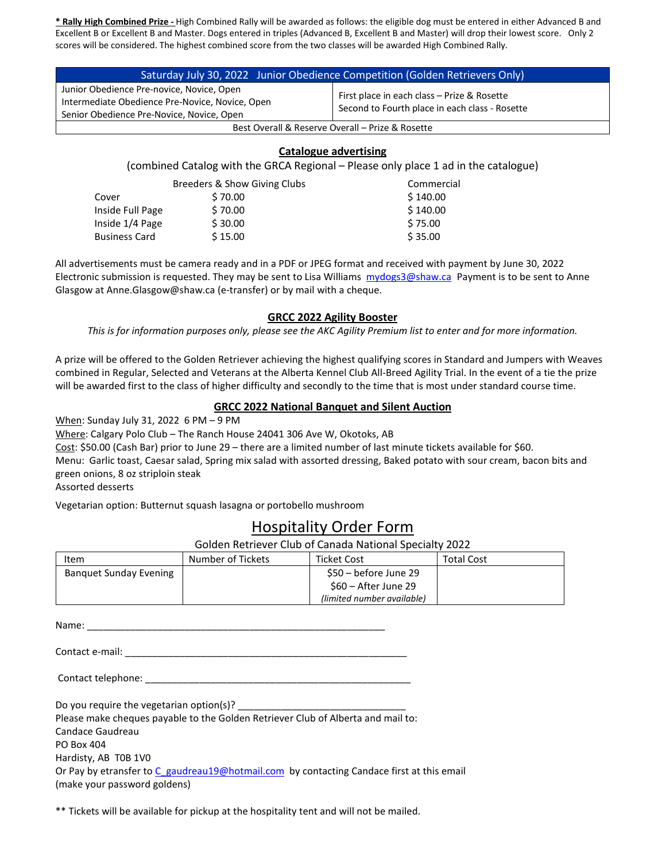**\* Rally High Combined Prize -** High Combined Rally will be awarded as follows: the eligible dog must be entered in either Advanced B and Excellent B or Excellent B and Master. Dogs entered in triples (Advanced B, Excellent B and Master) will drop their lowest score. Only 2 scores will be considered. The highest combined score from the two classes will be awarded High Combined Rally.

| Saturday July 30, 2022 Junior Obedience Competition (Golden Retrievers Only)                                                                                                                                                               |  |  |  |
|--------------------------------------------------------------------------------------------------------------------------------------------------------------------------------------------------------------------------------------------|--|--|--|
| Junior Obedience Pre-novice, Novice, Open<br>First place in each class - Prize & Rosette<br>Intermediate Obedience Pre-Novice, Novice, Open<br>Second to Fourth place in each class - Rosette<br>Senior Obedience Pre-Novice, Novice, Open |  |  |  |
| Best Overall & Bessmie Overall - Brian & Besstte                                                                                                                                                                                           |  |  |  |

Best Overall & Reserve Overall – Prize & Rosette

#### **Catalogue advertising**

(combined Catalog with the GRCA Regional – Please only place 1 ad in the catalogue)

|                  | Breeders & Show Giving Clubs | Commercial |
|------------------|------------------------------|------------|
| Cover            | \$70.00                      | \$140.00   |
| Inside Full Page | \$70.00                      | \$140.00   |
| Inside 1/4 Page  | \$30.00                      | \$75.00    |
| Business Card    | \$15.00                      | \$35.00    |
|                  |                              |            |

All advertisements must be camera ready and in a PDF or JPEG format and received with payment by June 30, 2022 Electronic submission is requested. They may be sent to Lisa Williams [mydogs3@shaw.ca](mailto:mydogs3@shaw.ca) Payment is to be sent to Anne Glasgow at Anne.Glasgow@shaw.ca (e-transfer) or by mail with a cheque.

#### **GRCC 2022 Agility Booster**

*This is for information purposes only, please see the AKC Agility Premium list to enter and for more information.*

A prize will be offered to the Golden Retriever achieving the highest qualifying scores in Standard and Jumpers with Weaves combined in Regular, Selected and Veterans at the Alberta Kennel Club All-Breed Agility Trial. In the event of a tie the prize will be awarded first to the class of higher difficulty and secondly to the time that is most under standard course time.

#### **GRCC 2022 National Banquet and Silent Auction**

When: Sunday July 31, 2022 6 PM – 9 PM

Where: Calgary Polo Club - The Ranch House 24041 306 Ave W, Okotoks, AB

Cost: \$50.00 (Cash Bar) prior to June 29 – there are a limited number of last minute tickets available for \$60. Menu: Garlic toast, Caesar salad, Spring mix salad with assorted dressing, Baked potato with sour cream, bacon bits and

green onions, 8 oz striploin steak

Assorted desserts

Vegetarian option: Butternut squash lasagna or portobello mushroom

## Hospitality Order Form

Golden Retriever Club of Canada National Specialty 2022

| Item                          | Number of Tickets | <b>Ticket Cost</b>         | <b>Total Cost</b> |
|-------------------------------|-------------------|----------------------------|-------------------|
| <b>Banquet Sunday Evening</b> |                   | \$50 – before June 29      |                   |
|                               |                   | $$60 - After June 29$      |                   |
|                               |                   | (limited number available) |                   |

Name:

Contact e-mail: \_\_\_\_\_\_\_\_\_\_\_\_\_\_\_\_\_\_\_\_\_\_\_\_\_\_\_\_\_\_\_\_\_\_\_\_\_\_\_\_\_\_\_\_\_\_\_\_\_\_\_\_

Contact telephone: **Example 20** and  $\alpha$  and  $\alpha$  and  $\alpha$  and  $\alpha$  and  $\alpha$  and  $\alpha$  and  $\alpha$  and  $\alpha$  and  $\alpha$  and  $\alpha$  and  $\alpha$  and  $\alpha$  and  $\alpha$  and  $\alpha$  and  $\alpha$  and  $\alpha$  and  $\alpha$  and  $\alpha$  and  $\alpha$  and  $\alpha$  and  $\alpha$  a

Do you require the vegetarian option(s)?  $\_\_$ 

Please make cheques payable to the Golden Retriever Club of Alberta and mail to:

Candace Gaudreau

PO Box 404

Hardisty, AB T0B 1V0

Or Pay by etransfer t[o C\\_gaudreau19@hotmail.com](mailto:C_gaudreau19@hotmail.com) by contacting Candace first at this email (make your password goldens)

\*\* Tickets will be available for pickup at the hospitality tent and will not be mailed.